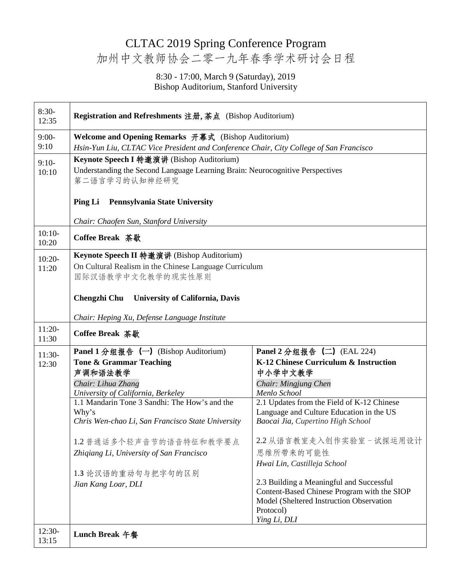## CLTAC 2019 Spring Conference Program 加州中文教师协会二零一九年春季学术研讨会日程

## 8:30 - 17:00, March 9 (Saturday), 2019 Bishop Auditorium, Stanford University

| $8:30-$<br>12:35  | Registration and Refreshments 注册, 茶点 (Bishop Auditorium)                                                                                    |                                                            |  |
|-------------------|---------------------------------------------------------------------------------------------------------------------------------------------|------------------------------------------------------------|--|
| $9:00-$           | Welcome and Opening Remarks 开幕式 (Bishop Auditorium)                                                                                         |                                                            |  |
| 9:10              | Hsin-Yun Liu, CLTAC Vice President and Conference Chair, City College of San Francisco                                                      |                                                            |  |
| $9:10-$           | Keynote Speech I 特邀演讲 (Bishop Auditorium)<br>Understanding the Second Language Learning Brain: Neurocognitive Perspectives<br>第二语言学习的认知神经研究 |                                                            |  |
| 10:10             |                                                                                                                                             |                                                            |  |
|                   | Pennsylvania State University<br><b>Ping Li</b>                                                                                             |                                                            |  |
|                   | Chair: Chaofen Sun, Stanford University                                                                                                     |                                                            |  |
| $10:10-$<br>10:20 | Coffee Break 茶歇                                                                                                                             |                                                            |  |
| $10:20-$          | Keynote Speech II 特邀演讲 (Bishop Auditorium)                                                                                                  |                                                            |  |
| 11:20             | On Cultural Realism in the Chinese Language Curriculum                                                                                      |                                                            |  |
|                   | 国际汉语教学中文化教学的现实性原则                                                                                                                           |                                                            |  |
|                   | Chengzhi Chu<br><b>University of California, Davis</b>                                                                                      |                                                            |  |
|                   | Chair: Heping Xu, Defense Language Institute                                                                                                |                                                            |  |
| $11:20-$<br>11:30 | Coffee Break 茶歇                                                                                                                             |                                                            |  |
| $11:30-$          | <b>Panel 1 分组报告</b> $(\neg)$ (Bishop Auditorium)                                                                                            | Panel 2 分组报告 (二) (EAL 224)                                 |  |
| 12:30             | Tone & Grammar Teaching                                                                                                                     | K-12 Chinese Curriculum & Instruction                      |  |
|                   | 声调和语法教学                                                                                                                                     | 中小学中文教学                                                    |  |
|                   | Chair: Lihua Zhang                                                                                                                          | Chair: Mingjung Chen                                       |  |
|                   | University of California, Berkeley<br>1.1 Mandarin Tone 3 Sandhi: The How's and the                                                         | Menlo School<br>2.1 Updates from the Field of K-12 Chinese |  |
|                   | Why's                                                                                                                                       | Language and Culture Education in the US                   |  |
|                   | Chris Wen-chao Li, San Francisco State University                                                                                           | Baocai Jia, Cupertino High School                          |  |
|                   | 1.2 普通话多个轻声音节的语音特征和教学要点                                                                                                                     | 2.2 从语言教室走入创作实验室-试探运用设计                                    |  |
|                   | Zhigiang Li, University of San Francisco                                                                                                    | 思维所带来的可能性                                                  |  |
|                   |                                                                                                                                             | Hwai Lin, Castilleja School                                |  |
|                   | 1.3 论汉语的重动句与把字句的区别                                                                                                                          |                                                            |  |
|                   | Jian Kang Loar, DLI                                                                                                                         | 2.3 Building a Meaningful and Successful                   |  |
|                   |                                                                                                                                             | Content-Based Chinese Program with the SIOP                |  |
|                   |                                                                                                                                             | Model (Sheltered Instruction Observation                   |  |
|                   |                                                                                                                                             | Protocol)<br>Ying Li, DLI                                  |  |
| $12:30-$<br>13:15 | <b>Lunch Break 午餐</b>                                                                                                                       |                                                            |  |